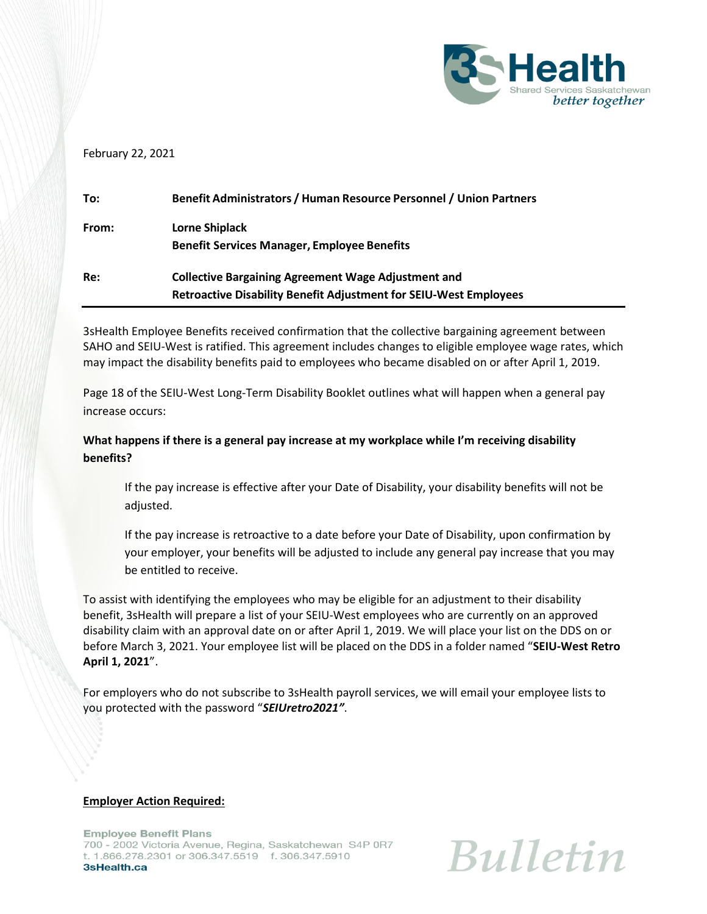

## February 22, 2021

| To:   | Benefit Administrators / Human Resource Personnel / Union Partners       |
|-------|--------------------------------------------------------------------------|
| From: | Lorne Shiplack                                                           |
|       | <b>Benefit Services Manager, Employee Benefits</b>                       |
| Re:   | <b>Collective Bargaining Agreement Wage Adjustment and</b>               |
|       | <b>Retroactive Disability Benefit Adjustment for SEIU-West Employees</b> |

3sHealth Employee Benefits received confirmation that the collective bargaining agreement between SAHO and SEIU-West is ratified. This agreement includes changes to eligible employee wage rates, which may impact the disability benefits paid to employees who became disabled on or after April 1, 2019.

Page 18 of the SEIU-West Long-Term Disability Booklet outlines what will happen when a general pay increase occurs:

## **What happens if there is a general pay increase at my workplace while I'm receiving disability benefits?**

If the pay increase is effective after your Date of Disability, your disability benefits will not be adjusted.

If the pay increase is retroactive to a date before your Date of Disability, upon confirmation by your employer, your benefits will be adjusted to include any general pay increase that you may be entitled to receive.

To assist with identifying the employees who may be eligible for an adjustment to their disability benefit, 3sHealth will prepare a list of your SEIU-West employees who are currently on an approved disability claim with an approval date on or after April 1, 2019. We will place your list on the DDS on or before March 3, 2021. Your employee list will be placed on the DDS in a folder named "**SEIU-West Retro April 1, 2021**".

For employers who do not subscribe to 3sHealth payroll services, we will email your employee lists to you protected with the password "*SEIUretro2021"*.

## **Employer Action Required:**